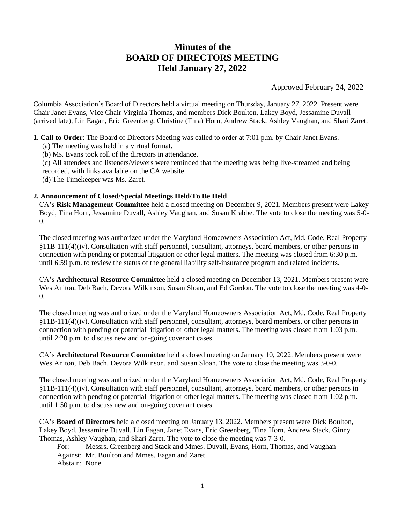# **Minutes of the BOARD OF DIRECTORS MEETING Held January 27, 2022**

Approved February 24, 2022

Columbia Association's Board of Directors held a virtual meeting on Thursday, January 27, 2022. Present were Chair Janet Evans, Vice Chair Virginia Thomas, and members Dick Boulton, Lakey Boyd, Jessamine Duvall (arrived late), Lin Eagan, Eric Greenberg, Christine (Tina) Horn, Andrew Stack, Ashley Vaughan, and Shari Zaret.

**1. Call to Order**: The Board of Directors Meeting was called to order at 7:01 p.m. by Chair Janet Evans.

- (a) The meeting was held in a virtual format.
- (b) Ms. Evans took roll of the directors in attendance.

(c) All attendees and listeners/viewers were reminded that the meeting was being live-streamed and being

recorded, with links available on the CA website.

(d) The Timekeeper was Ms. Zaret.

## **2. Announcement of Closed/Special Meetings Held/To Be Held**

CA's **Risk Management Committee** held a closed meeting on December 9, 2021. Members present were Lakey Boyd, Tina Horn, Jessamine Duvall, Ashley Vaughan, and Susan Krabbe. The vote to close the meeting was 5-0- 0.

The closed meeting was authorized under the Maryland Homeowners Association Act, Md. Code, Real Property §11B-111(4)(iv), Consultation with staff personnel, consultant, attorneys, board members, or other persons in connection with pending or potential litigation or other legal matters. The meeting was closed from 6:30 p.m. until 6:59 p.m. to review the status of the general liability self-insurance program and related incidents.

CA's **Architectural Resource Committee** held a closed meeting on December 13, 2021. Members present were Wes Aniton, Deb Bach, Devora Wilkinson, Susan Sloan, and Ed Gordon. The vote to close the meeting was 4-0-  $\Omega$ .

The closed meeting was authorized under the Maryland Homeowners Association Act, Md. Code, Real Property §11B-111(4)(iv), Consultation with staff personnel, consultant, attorneys, board members, or other persons in connection with pending or potential litigation or other legal matters. The meeting was closed from 1:03 p.m. until 2:20 p.m. to discuss new and on-going covenant cases.

CA's **Architectural Resource Committee** held a closed meeting on January 10, 2022. Members present were Wes Aniton, Deb Bach, Devora Wilkinson, and Susan Sloan. The vote to close the meeting was 3-0-0.

The closed meeting was authorized under the Maryland Homeowners Association Act, Md. Code, Real Property §11B-111(4)(iv), Consultation with staff personnel, consultant, attorneys, board members, or other persons in connection with pending or potential litigation or other legal matters. The meeting was closed from 1:02 p.m. until 1:50 p.m. to discuss new and on-going covenant cases.

CA's **Board of Directors** held a closed meeting on January 13, 2022. Members present were Dick Boulton, Lakey Boyd, Jessamine Duvall, Lin Eagan, Janet Evans, Eric Greenberg, Tina Horn, Andrew Stack, Ginny Thomas, Ashley Vaughan, and Shari Zaret. The vote to close the meeting was 7-3-0.

For: Messrs. Greenberg and Stack and Mmes. Duvall, Evans, Horn, Thomas, and Vaughan Against: Mr. Boulton and Mmes. Eagan and Zaret Abstain: None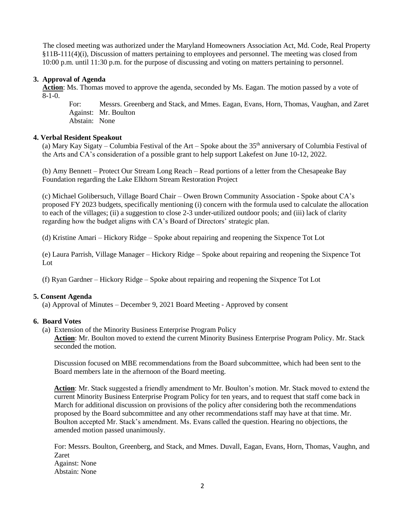The closed meeting was authorized under the Maryland Homeowners Association Act, Md. Code, Real Property §11B-111(4)(i), Discussion of matters pertaining to employees and personnel. The meeting was closed from 10:00 p.m. until 11:30 p.m. for the purpose of discussing and voting on matters pertaining to personnel.

## **3. Approval of Agenda**

 **Action**: Ms. Thomas moved to approve the agenda, seconded by Ms. Eagan. The motion passed by a vote of  $8-1-0$ .

 For: Messrs. Greenberg and Stack, and Mmes. Eagan, Evans, Horn, Thomas, Vaughan, and Zaret Against: Mr. Boulton Abstain: None

### **4. Verbal Resident Speakout**

(a) Mary Kay Sigaty – Columbia Festival of the Art – Spoke about the  $35<sup>th</sup>$  anniversary of Columbia Festival of the Arts and CA's consideration of a possible grant to help support Lakefest on June 10-12, 2022.

(b) Amy Bennett – Protect Our Stream Long Reach – Read portions of a letter from the Chesapeake Bay Foundation regarding the Lake Elkhorn Stream Restoration Project

(c) Michael Golibersuch, Village Board Chair – Owen Brown Community Association - Spoke about CA's proposed FY 2023 budgets, specifically mentioning (i) concern with the formula used to calculate the allocation to each of the villages; (ii) a suggestion to close 2-3 under-utilized outdoor pools; and (iii) lack of clarity regarding how the budget aligns with CA's Board of Directors' strategic plan.

(d) Kristine Amari – Hickory Ridge – Spoke about repairing and reopening the Sixpence Tot Lot

(e) Laura Parrish, Village Manager – Hickory Ridge – Spoke about repairing and reopening the Sixpence Tot Lot

(f) Ryan Gardner – Hickory Ridge – Spoke about repairing and reopening the Sixpence Tot Lot

### **5. Consent Agenda**

(a) Approval of Minutes – December 9, 2021 Board Meeting - Approved by consent

### **6. Board Votes**

(a) Extension of the Minority Business Enterprise Program Policy

**Action**: Mr. Boulton moved to extend the current Minority Business Enterprise Program Policy. Mr. Stack seconded the motion.

Discussion focused on MBE recommendations from the Board subcommittee, which had been sent to the Board members late in the afternoon of the Board meeting.

**Action**: Mr. Stack suggested a friendly amendment to Mr. Boulton's motion. Mr. Stack moved to extend the current Minority Business Enterprise Program Policy for ten years, and to request that staff come back in March for additional discussion on provisions of the policy after considering both the recommendations proposed by the Board subcommittee and any other recommendations staff may have at that time. Mr. Boulton accepted Mr. Stack's amendment. Ms. Evans called the question. Hearing no objections, the amended motion passed unanimously.

For: Messrs. Boulton, Greenberg, and Stack, and Mmes. Duvall, Eagan, Evans, Horn, Thomas, Vaughn, and Zaret Against: None Abstain: None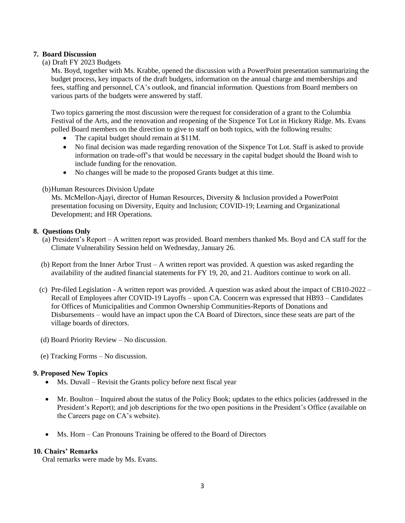## **7. Board Discussion**

(a) Draft FY 2023 Budgets

Ms. Boyd, together with Ms. Krabbe, opened the discussion with a PowerPoint presentation summarizing the budget process, key impacts of the draft budgets, information on the annual charge and memberships and fees, staffing and personnel, CA's outlook, and financial information. Questions from Board members on various parts of the budgets were answered by staff.

Two topics garnering the most discussion were the request for consideration of a grant to the Columbia Festival of the Arts, and the renovation and reopening of the Sixpence Tot Lot in Hickory Ridge. Ms. Evans polled Board members on the direction to give to staff on both topics, with the following results:

- The capital budget should remain at \$11M.
- No final decision was made regarding renovation of the Sixpence Tot Lot. Staff is asked to provide information on trade-off's that would be necessary in the capital budget should the Board wish to include funding for the renovation.
- No changes will be made to the proposed Grants budget at this time.

## (b)Human Resources Division Update

Ms. McMellon-Ajayi, director of Human Resources, Diversity & Inclusion provided a PowerPoint presentation focusing on Diversity, Equity and Inclusion; COVID-19; Learning and Organizational Development; and HR Operations.

## **8. Questions Only**

- (a) President's Report A written report was provided. Board members thanked Ms. Boyd and CA staff for the Climate Vulnerability Session held on Wednesday, January 26.
- (b) Report from the Inner Arbor Trust A written report was provided. A question was asked regarding the availability of the audited financial statements for FY 19, 20, and 21. Auditors continue to work on all.
- (c) Pre-filed Legislation A written report was provided. A question was asked about the impact of CB10-2022 Recall of Employees after COVID-19 Layoffs – upon CA. Concern was expressed that HB93 – Candidates for Offices of Municipalities and Common Ownership Communities-Reports of Donations and Disbursements – would have an impact upon the CA Board of Directors, since these seats are part of the village boards of directors.
- (d) Board Priority Review No discussion.
- (e) Tracking Forms No discussion.

### **9. Proposed New Topics**

- Ms. Duvall Revisit the Grants policy before next fiscal year
- Mr. Boulton Inquired about the status of the Policy Book; updates to the ethics policies (addressed in the President's Report); and job descriptions for the two open positions in the President's Office (available on the Careers page on CA's website).
- Ms. Horn Can Pronouns Training be offered to the Board of Directors

### **10. Chairs' Remarks**

Oral remarks were made by Ms. Evans.